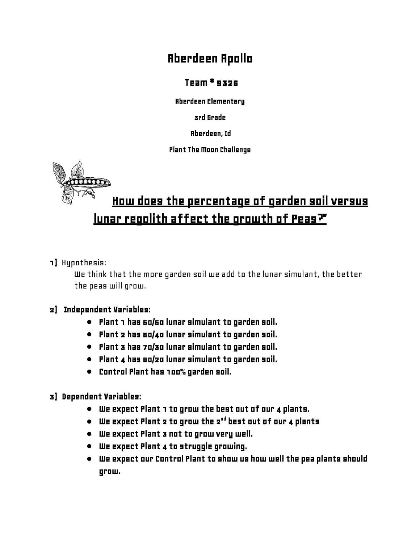### Aberdeen Apollo

#### Team # 9326

Aberdeen Elementary

3rd Grade

Aberdeen, Id

Plant The Moon Challenge



## How does the percentage of garden soil versus lunar regolith affect the growth of Peas?"

1) Hypothesis:

We think that the more garden soil we add to the lunar simulant, the better the peas will grow.

#### 2) Independent Variables:

- **●** Plant 1 has 50/50 lunar simulant to garden soil.
- **●** Plant 2 has 60/40 lunar simulant to garden soil.
- **●** Plant 3 has 70/30 lunar simulant to garden soil.
- **●** Plant 4 has 80/20 lunar simulant to garden soil.
- **●** Control Plant has 100% garden soil.

#### 3) Dependent Variables:

- **●** We expect Plant 1 to grow the best out of our 4 plants.
- We expect Plant 2 to grow the 2<sup>nd</sup> best out of our 4 plants
- **●** We expect Plant 3 not to grow very well.
- **●** We expect Plant 4 to struggle growing.
- **●** We expect our Control Plant to show us how well the pea plants should grow.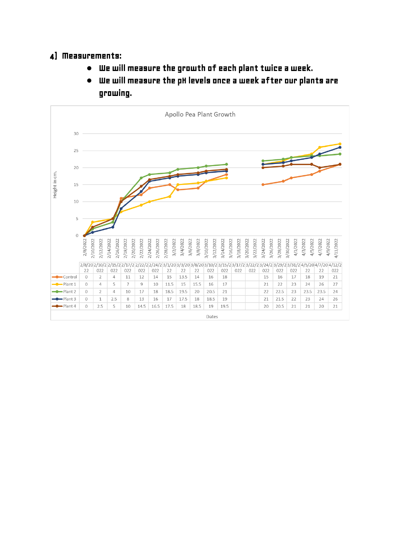#### 4) Measurements:

- **●** We will measure the growth of each plant twice a week.
- **●** We will measure the pH levels once a week after our plants are growing.

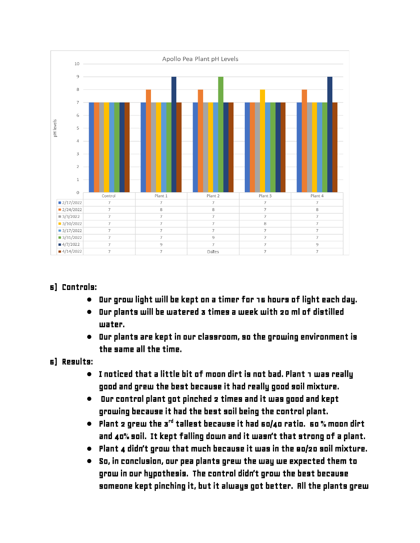

#### 5) Controls:

- **●** Our grow light will be kept on a timer for 16 hours of light each day.
- **●** Our plants will be watered 3 times a week with 20 ml of distilled water.
- **●** Our plants are kept in our classroom, so the growing environment is the same all the time.
- 6) Results:
	- **●** I noticed that a little bit of moon dirt is not bad. Plant 1 was really good and grew the best because it had really good soil mixture.
	- **●** Our control plant got pinched 2 times and it was good and kept growing because it had the best soil being the control plant.
	- Plant 2 grew the 3<sup>rd</sup> tallest because it had 60/40 ratio. 60 % moon dirt and 40% soil. It kept falling down and it wasn't that strong of a plant.
	- **●** Plant 4 didn't grow that much because it was in the 80/20 soil mixture.
	- **●** So, in conclusion, our pea plants grew the way we expected them to grow in our hypothesis. The control didn't grow the best because someone kept pinching it, but it always got better. All the plants grew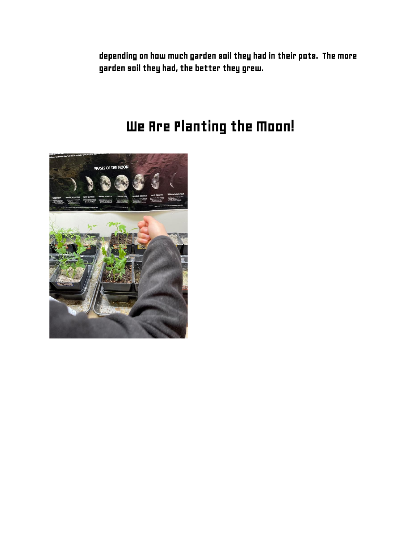depending on how much garden soil they had in their pots. The more garden soil they had, the better they grew.

# We Are Planting the Moon!

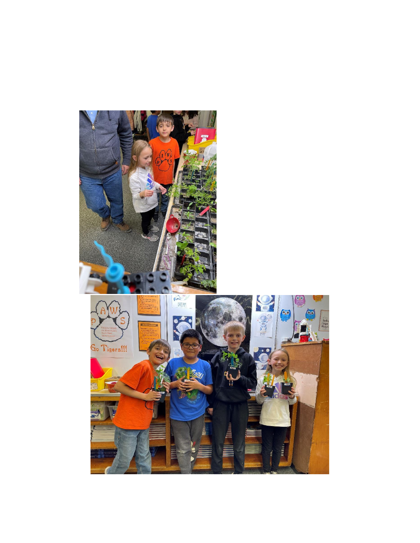